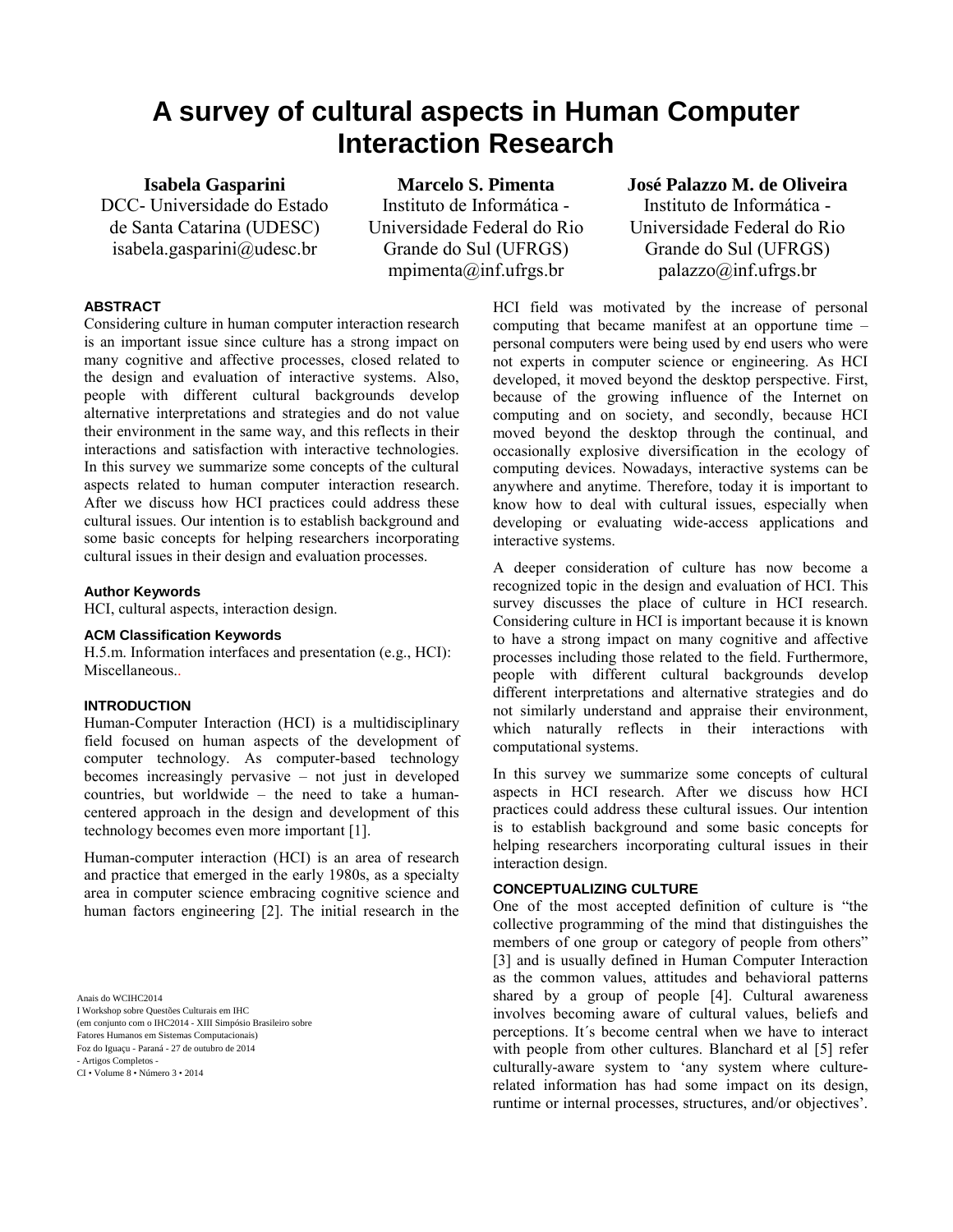# **A survey of cultural aspects in Human Computer Interaction Research**

**Isabela Gasparini** DCC- Universidade do Estado de Santa Catarina (UDESC) isabela.gasparini@udesc.br

**Marcelo S. Pimenta**

Instituto de Informática - Universidade Federal do Rio Grande do Sul (UFRGS) mpimenta@inf.ufrgs.br

**José Palazzo M. de Oliveira** Instituto de Informática - Universidade Federal do Rio Grande do Sul (UFRGS) palazzo@inf.ufrgs.br

## **ABSTRACT**

Considering culture in human computer interaction research is an important issue since culture has a strong impact on many cognitive and affective processes, closed related to the design and evaluation of interactive systems. Also, people with different cultural backgrounds develop alternative interpretations and strategies and do not value their environment in the same way, and this reflects in their interactions and satisfaction with interactive technologies. In this survey we summarize some concepts of the cultural aspects related to human computer interaction research. After we discuss how HCI practices could address these cultural issues. Our intention is to establish background and some basic concepts for helping researchers incorporating cultural issues in their design and evaluation processes.

### **Author Keywords**

HCI, cultural aspects, interaction design.

#### **ACM Classification Keywords**

H.5.m. Information interfaces and presentation (e.g., HCI): Miscellaneous..

### **INTRODUCTION**

Human-Computer Interaction (HCI) is a multidisciplinary field focused on human aspects of the development of computer technology. As computer-based technology becomes increasingly pervasive – not just in developed countries, but worldwide – the need to take a humancentered approach in the design and development of this technology becomes even more important [1].

Human-computer interaction (HCI) is an area of research and practice that emerged in the early 1980s, as a specialty area in computer science embracing cognitive science and human factors engineering [2]. The initial research in the

Anais do WCIHC2014

I Workshop sobre Questões Culturais em IHC (em conjunto com o IHC2014 - XIII Simpósio Brasileiro sobre Fatores Humanos em Sistemas Computacionais) Foz do Iguaçu - Paraná - 27 de outubro de 2014

- Artigos Completos - CI • Volume 8 • Número 3 • 2014 HCI field was motivated by the increase of personal computing that became manifest at an opportune time – personal computers were being used by end users who were not experts in computer science or engineering. As HCI developed, it moved beyond the desktop perspective. First, because of the growing influence of the Internet on computing and on society, and secondly, because HCI moved beyond the desktop through the continual, and occasionally explosive diversification in the ecology of computing devices. Nowadays, interactive systems can be anywhere and anytime. Therefore, today it is important to know how to deal with cultural issues, especially when developing or evaluating wide-access applications and interactive systems.

A deeper consideration of culture has now become a recognized topic in the design and evaluation of HCI. This survey discusses the place of culture in HCI research. Considering culture in HCI is important because it is known to have a strong impact on many cognitive and affective processes including those related to the field. Furthermore, people with different cultural backgrounds develop different interpretations and alternative strategies and do not similarly understand and appraise their environment, which naturally reflects in their interactions with computational systems.

In this survey we summarize some concepts of cultural aspects in HCI research. After we discuss how HCI practices could address these cultural issues. Our intention is to establish background and some basic concepts for helping researchers incorporating cultural issues in their interaction design.

#### **CONCEPTUALIZING CULTURE**

One of the most accepted definition of culture is "the collective programming of the mind that distinguishes the members of one group or category of people from others" [3] and is usually defined in Human Computer Interaction as the common values, attitudes and behavioral patterns shared by a group of people [4]. Cultural awareness involves becoming aware of cultural values, beliefs and perceptions. It´s become central when we have to interact with people from other cultures. Blanchard et al [5] refer culturally-aware system to 'any system where culturerelated information has had some impact on its design, runtime or internal processes, structures, and/or objectives'.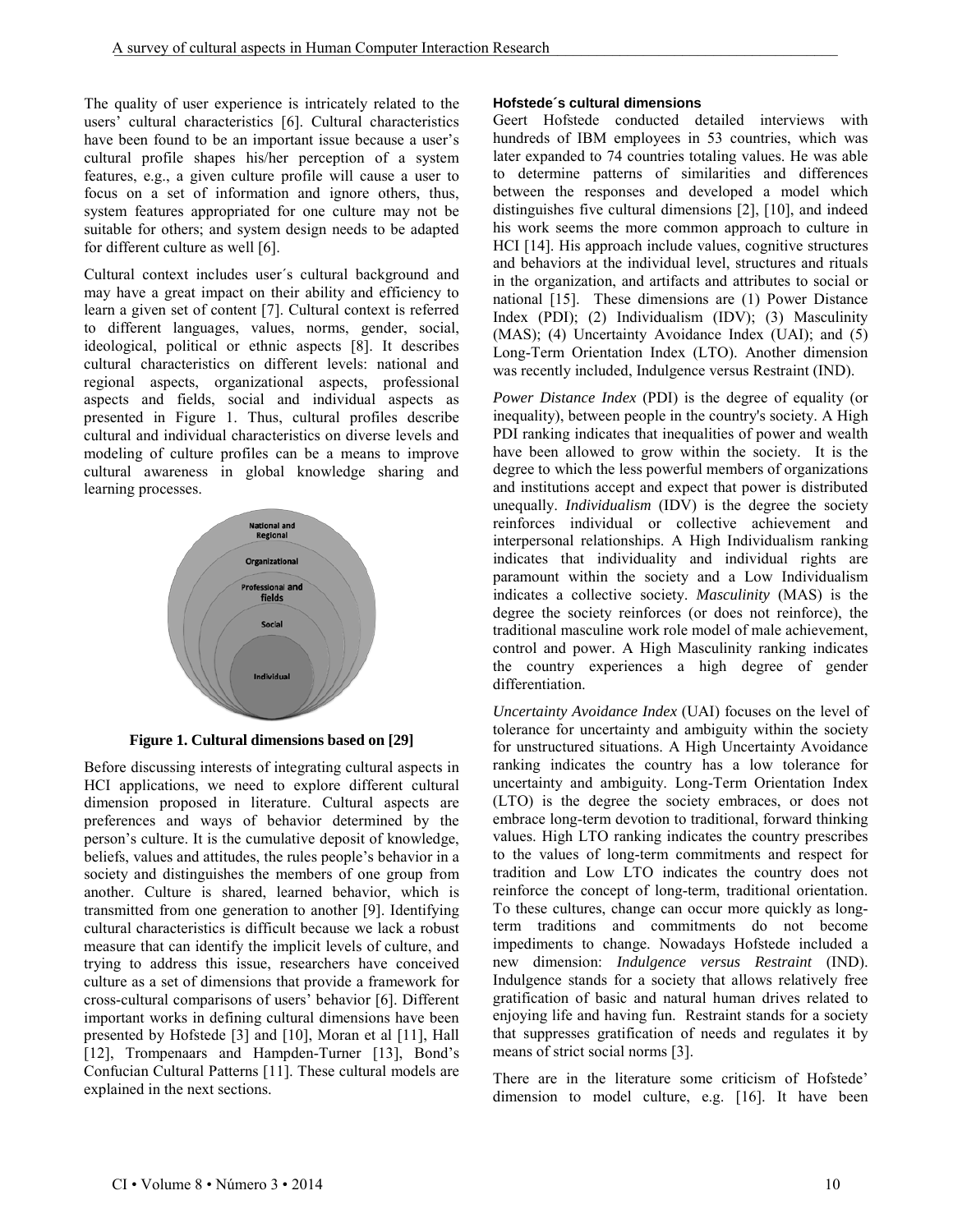The quality of user experience is intricately related to the users' cultural characteristics [6]. Cultural characteristics have been found to be an important issue because a user's cultural profile shapes his/her perception of a system features, e.g., a given culture profile will cause a user to focus on a set of information and ignore others, thus, system features appropriated for one culture may not be suitable for others; and system design needs to be adapted for different culture as well [6].

Cultural context includes user´s cultural background and may have a great impact on their ability and efficiency to learn a given set of content [7]. Cultural context is referred to different languages, values, norms, gender, social, ideological, political or ethnic aspects [8]. It describes cultural characteristics on different levels: national and regional aspects, organizational aspects, professional aspects and fields, social and individual aspects as presented in Figure 1. Thus, cultural profiles describe cultural and individual characteristics on diverse levels and modeling of culture profiles can be a means to improve cultural awareness in global knowledge sharing and learning processes.



**Figure 1. Cultural dimensions based on [29]**

Before discussing interests of integrating cultural aspects in HCI applications, we need to explore different cultural dimension proposed in literature. Cultural aspects are preferences and ways of behavior determined by the person's culture. It is the cumulative deposit of knowledge, beliefs, values and attitudes, the rules people's behavior in a society and distinguishes the members of one group from another. Culture is shared, learned behavior, which is transmitted from one generation to another [9]. Identifying cultural characteristics is difficult because we lack a robust measure that can identify the implicit levels of culture, and trying to address this issue, researchers have conceived culture as a set of dimensions that provide a framework for cross-cultural comparisons of users' behavior [6]. Different important works in defining cultural dimensions have been presented by Hofstede [3] and [10], Moran et al [11], Hall [12], Trompenaars and Hampden-Turner [13], Bond's Confucian Cultural Patterns [11]. These cultural models are explained in the next sections.

# **Hofstede´s cultural dimensions**

Geert Hofstede conducted detailed interviews with hundreds of IBM employees in 53 countries, which was later expanded to 74 countries totaling values. He was able to determine patterns of similarities and differences between the responses and developed a model which distinguishes five cultural dimensions [2], [10], and indeed his work seems the more common approach to culture in HCI [14]. His approach include values, cognitive structures and behaviors at the individual level, structures and rituals in the organization, and artifacts and attributes to social or national [15]. These dimensions are (1) Power Distance Index (PDI); (2) Individualism (IDV); (3) Masculinity (MAS); (4) Uncertainty Avoidance Index (UAI); and (5) Long-Term Orientation Index (LTO). Another dimension was recently included, Indulgence versus Restraint (IND).

*Power Distance Index* (PDI) is the degree of equality (or inequality), between people in the country's society. A High PDI ranking indicates that inequalities of power and wealth have been allowed to grow within the society. It is the degree to which the less powerful members of organizations and institutions accept and expect that power is distributed unequally. *Individualism* (IDV) is the degree the society reinforces individual or collective achievement and interpersonal relationships. A High Individualism ranking indicates that individuality and individual rights are paramount within the society and a Low Individualism indicates a collective society. *Masculinity* (MAS) is the degree the society reinforces (or does not reinforce), the traditional masculine work role model of male achievement, control and power. A High Masculinity ranking indicates the country experiences a high degree of gender differentiation.

*Uncertainty Avoidance Index* (UAI) focuses on the level of tolerance for uncertainty and ambiguity within the society for unstructured situations. A High Uncertainty Avoidance ranking indicates the country has a low tolerance for uncertainty and ambiguity. Long-Term Orientation Index (LTO) is the degree the society embraces, or does not embrace long-term devotion to traditional, forward thinking values. High LTO ranking indicates the country prescribes to the values of long-term commitments and respect for tradition and Low LTO indicates the country does not reinforce the concept of long-term, traditional orientation. To these cultures, change can occur more quickly as longterm traditions and commitments do not become impediments to change. Nowadays Hofstede included a new dimension: *Indulgence versus Restraint* (IND). Indulgence stands for a society that allows relatively free gratification of basic and natural human drives related to enjoying life and having fun. Restraint stands for a society that suppresses gratification of needs and regulates it by means of strict social norms [3].

There are in the literature some criticism of Hofstede' dimension to model culture, e.g. [16]. It have been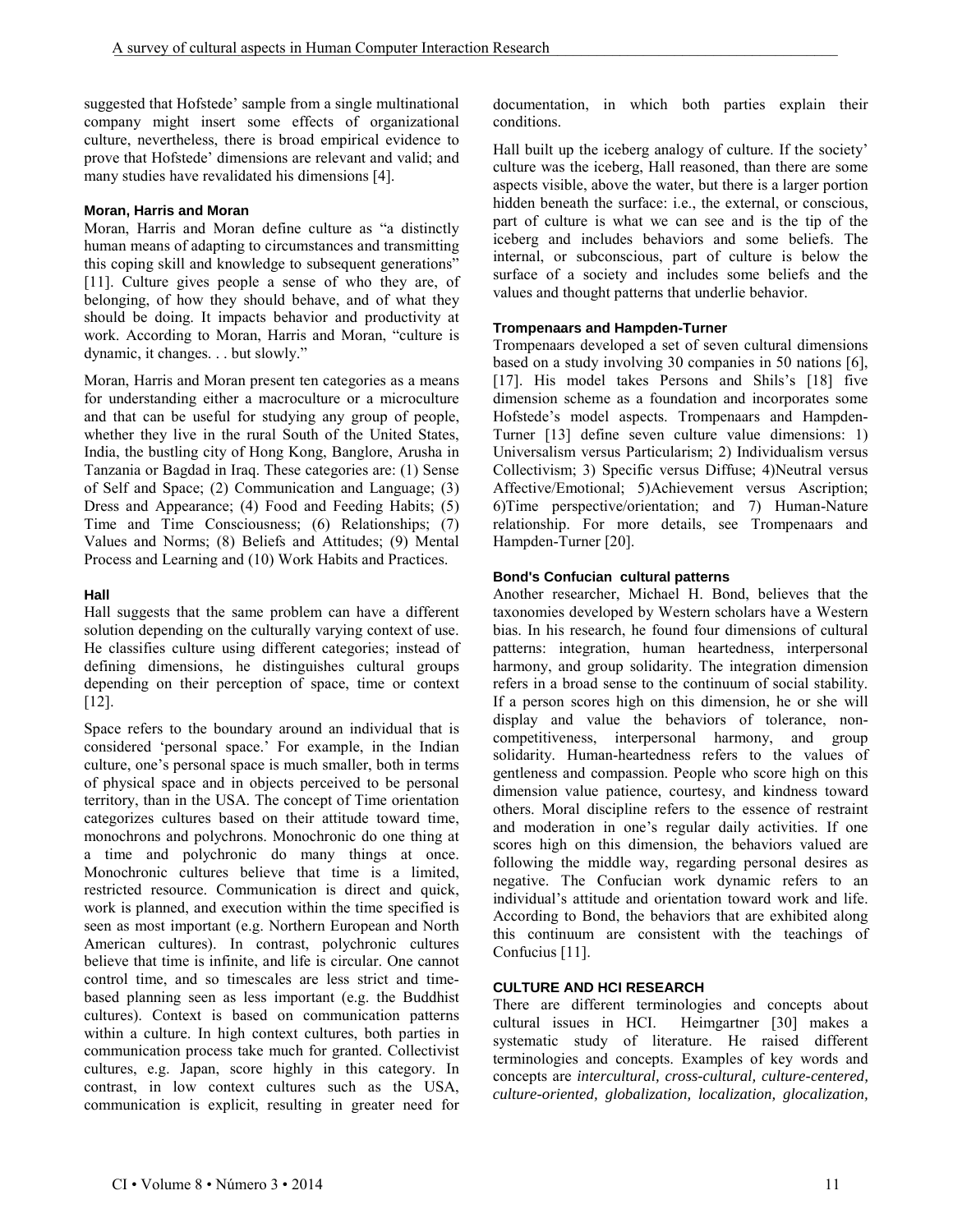suggested that Hofstede' sample from a single multinational company might insert some effects of organizational culture, nevertheless, there is broad empirical evidence to prove that Hofstede' dimensions are relevant and valid; and many studies have revalidated his dimensions [4].

# **Moran, Harris and Moran**

Moran, Harris and Moran define culture as "a distinctly human means of adapting to circumstances and transmitting this coping skill and knowledge to subsequent generations" [11]. Culture gives people a sense of who they are, of belonging, of how they should behave, and of what they should be doing. It impacts behavior and productivity at work. According to Moran, Harris and Moran, "culture is dynamic, it changes. . . but slowly."

Moran, Harris and Moran present ten categories as a means for understanding either a macroculture or a microculture and that can be useful for studying any group of people, whether they live in the rural South of the United States, India, the bustling city of Hong Kong, Banglore, Arusha in Tanzania or Bagdad in Iraq. These categories are: (1) Sense of Self and Space; (2) Communication and Language; (3) Dress and Appearance; (4) Food and Feeding Habits; (5) Time and Time Consciousness; (6) Relationships; (7) Values and Norms; (8) Beliefs and Attitudes; (9) Mental Process and Learning and (10) Work Habits and Practices.

# **Hall**

Hall suggests that the same problem can have a different solution depending on the culturally varying context of use. He classifies culture using different categories; instead of defining dimensions, he distinguishes cultural groups depending on their perception of space, time or context [12].

Space refers to the boundary around an individual that is considered 'personal space.' For example, in the Indian culture, one's personal space is much smaller, both in terms of physical space and in objects perceived to be personal territory, than in the USA. The concept of Time orientation categorizes cultures based on their attitude toward time, monochrons and polychrons. Monochronic do one thing at a time and polychronic do many things at once. Monochronic cultures believe that time is a limited, restricted resource. Communication is direct and quick, work is planned, and execution within the time specified is seen as most important (e.g. Northern European and North American cultures). In contrast, polychronic cultures believe that time is infinite, and life is circular. One cannot control time, and so timescales are less strict and timebased planning seen as less important (e.g. the Buddhist cultures). Context is based on communication patterns within a culture. In high context cultures, both parties in communication process take much for granted. Collectivist cultures, e.g. Japan, score highly in this category. In contrast, in low context cultures such as the USA, communication is explicit, resulting in greater need for documentation, in which both parties explain their conditions.

Hall built up the iceberg analogy of culture. If the society' culture was the iceberg, Hall reasoned, than there are some aspects visible, above the water, but there is a larger portion hidden beneath the surface: i.e., the external, or conscious, part of culture is what we can see and is the tip of the iceberg and includes behaviors and some beliefs. The internal, or subconscious, part of culture is below the surface of a society and includes some beliefs and the values and thought patterns that underlie behavior.

# **Trompenaars and Hampden-Turner**

Trompenaars developed a set of seven cultural dimensions based on a study involving 30 companies in 50 nations [6], [17]. His model takes Persons and Shils's [18] five dimension scheme as a foundation and incorporates some Hofstede's model aspects. Trompenaars and Hampden-Turner [13] define seven culture value dimensions: 1) Universalism versus Particularism; 2) Individualism versus Collectivism; 3) Specific versus Diffuse; 4)Neutral versus Affective/Emotional; 5)Achievement versus Ascription; 6)Time perspective/orientation; and 7) Human-Nature relationship. For more details, see Trompenaars and Hampden-Turner [20].

# **Bond's Confucian cultural patterns**

Another researcher, Michael H. Bond, believes that the taxonomies developed by Western scholars have a Western bias. In his research, he found four dimensions of cultural patterns: integration, human heartedness, interpersonal harmony, and group solidarity. The integration dimension refers in a broad sense to the continuum of social stability. If a person scores high on this dimension, he or she will display and value the behaviors of tolerance, noncompetitiveness, interpersonal harmony, and group solidarity. Human-heartedness refers to the values of gentleness and compassion. People who score high on this dimension value patience, courtesy, and kindness toward others. Moral discipline refers to the essence of restraint and moderation in one's regular daily activities. If one scores high on this dimension, the behaviors valued are following the middle way, regarding personal desires as negative. The Confucian work dynamic refers to an individual's attitude and orientation toward work and life. According to Bond, the behaviors that are exhibited along this continuum are consistent with the teachings of Confucius [11].

# **CULTURE AND HCI RESEARCH**

There are different terminologies and concepts about cultural issues in HCI. Heimgartner [30] makes a systematic study of literature. He raised different terminologies and concepts. Examples of key words and concepts are *intercultural, cross-cultural, culture-centered, culture-oriented, globalization, localization, glocalization,*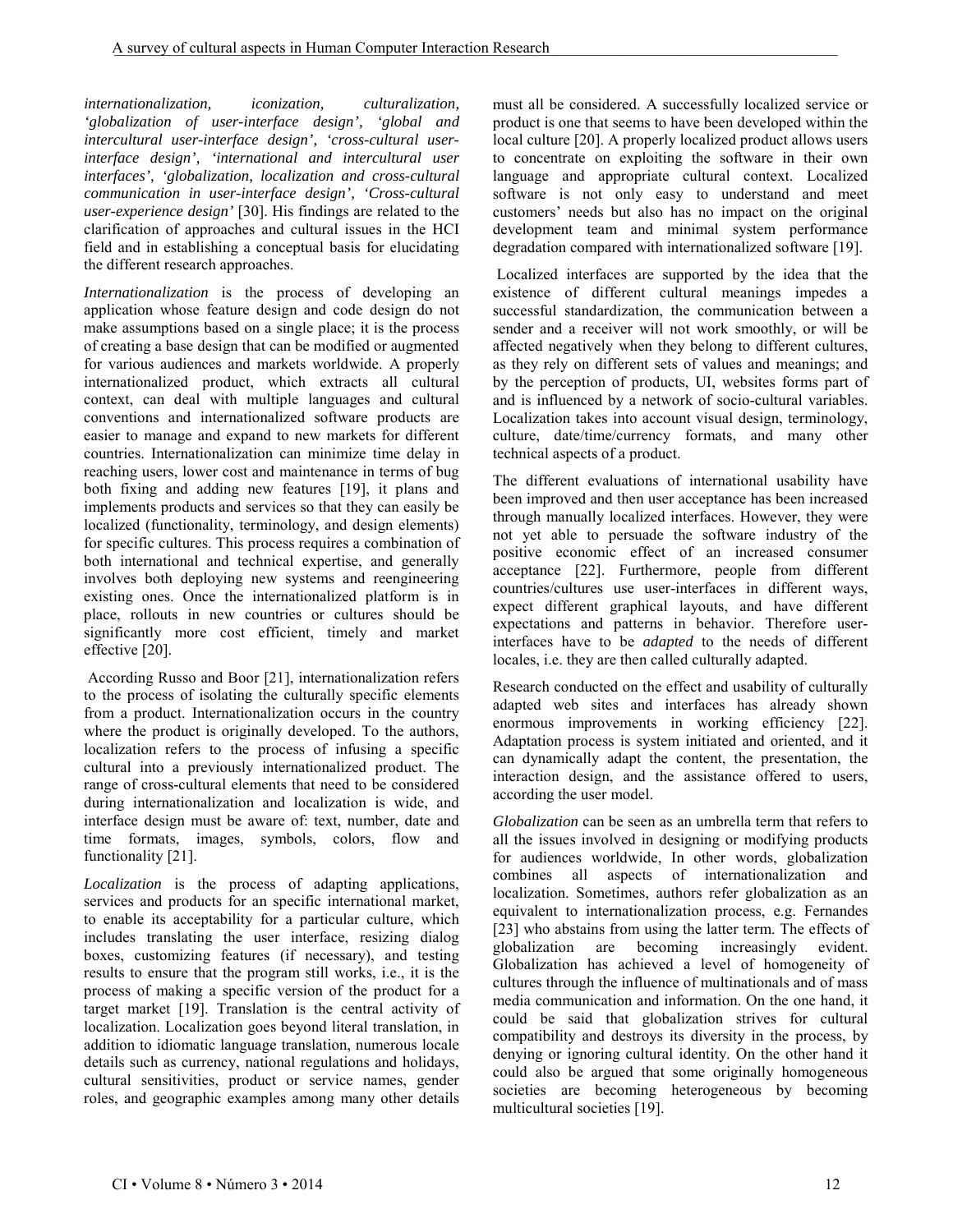*internationalization, iconization, culturalization, 'globalization of user-interface design', 'global and intercultural user-interface design', 'cross-cultural userinterface design', 'international and intercultural user interfaces', 'globalization, localization and cross-cultural communication in user-interface design', 'Cross-cultural user-experience design'* [30]. His findings are related to the clarification of approaches and cultural issues in the HCI field and in establishing a conceptual basis for elucidating the different research approaches.

*Internationalization* is the process of developing an application whose feature design and code design do not make assumptions based on a single place; it is the process of creating a base design that can be modified or augmented for various audiences and markets worldwide. A properly internationalized product, which extracts all cultural context, can deal with multiple languages and cultural conventions and internationalized software products are easier to manage and expand to new markets for different countries. Internationalization can minimize time delay in reaching users, lower cost and maintenance in terms of bug both fixing and adding new features [19], it plans and implements products and services so that they can easily be localized (functionality, terminology, and design elements) for specific cultures. This process requires a combination of both international and technical expertise, and generally involves both deploying new systems and reengineering existing ones. Once the internationalized platform is in place, rollouts in new countries or cultures should be significantly more cost efficient, timely and market effective [20].

According Russo and Boor [21], internationalization refers to the process of isolating the culturally specific elements from a product. Internationalization occurs in the country where the product is originally developed. To the authors, localization refers to the process of infusing a specific cultural into a previously internationalized product. The range of cross-cultural elements that need to be considered during internationalization and localization is wide, and interface design must be aware of: text, number, date and time formats, images, symbols, colors, flow and functionality [21].

*Localization* is the process of adapting applications, services and products for an specific international market, to enable its acceptability for a particular culture, which includes translating the user interface, resizing dialog boxes, customizing features (if necessary), and testing results to ensure that the program still works, i.e., it is the process of making a specific version of the product for a target market [19]. Translation is the central activity of localization. Localization goes beyond literal translation, in addition to idiomatic language translation, numerous locale details such as currency, national regulations and holidays, cultural sensitivities, product or service names, gender roles, and geographic examples among many other details must all be considered. A successfully localized service or product is one that seems to have been developed within the local culture [20]. A properly localized product allows users to concentrate on exploiting the software in their own language and appropriate cultural context. Localized software is not only easy to understand and meet customers' needs but also has no impact on the original development team and minimal system performance degradation compared with internationalized software [19].

Localized interfaces are supported by the idea that the existence of different cultural meanings impedes a successful standardization, the communication between a sender and a receiver will not work smoothly, or will be affected negatively when they belong to different cultures, as they rely on different sets of values and meanings; and by the perception of products, UI, websites forms part of and is influenced by a network of socio-cultural variables. Localization takes into account visual design, terminology, culture, date/time/currency formats, and many other technical aspects of a product.

The different evaluations of international usability have been improved and then user acceptance has been increased through manually localized interfaces. However, they were not yet able to persuade the software industry of the positive economic effect of an increased consumer acceptance [22]. Furthermore, people from different countries/cultures use user-interfaces in different ways, expect different graphical layouts, and have different expectations and patterns in behavior. Therefore userinterfaces have to be *adapted* to the needs of different locales, i.e. they are then called culturally adapted.

Research conducted on the effect and usability of culturally adapted web sites and interfaces has already shown enormous improvements in working efficiency [22]. Adaptation process is system initiated and oriented, and it can dynamically adapt the content, the presentation, the interaction design, and the assistance offered to users, according the user model.

*Globalization* can be seen as an umbrella term that refers to all the issues involved in designing or modifying products for audiences worldwide, In other words, globalization combines all aspects of internationalization and localization. Sometimes, authors refer globalization as an equivalent to internationalization process, e.g. Fernandes [23] who abstains from using the latter term. The effects of globalization are becoming increasingly evident. Globalization has achieved a level of homogeneity of cultures through the influence of multinationals and of mass media communication and information. On the one hand, it could be said that globalization strives for cultural compatibility and destroys its diversity in the process, by denying or ignoring cultural identity. On the other hand it could also be argued that some originally homogeneous societies are becoming heterogeneous by becoming multicultural societies [19].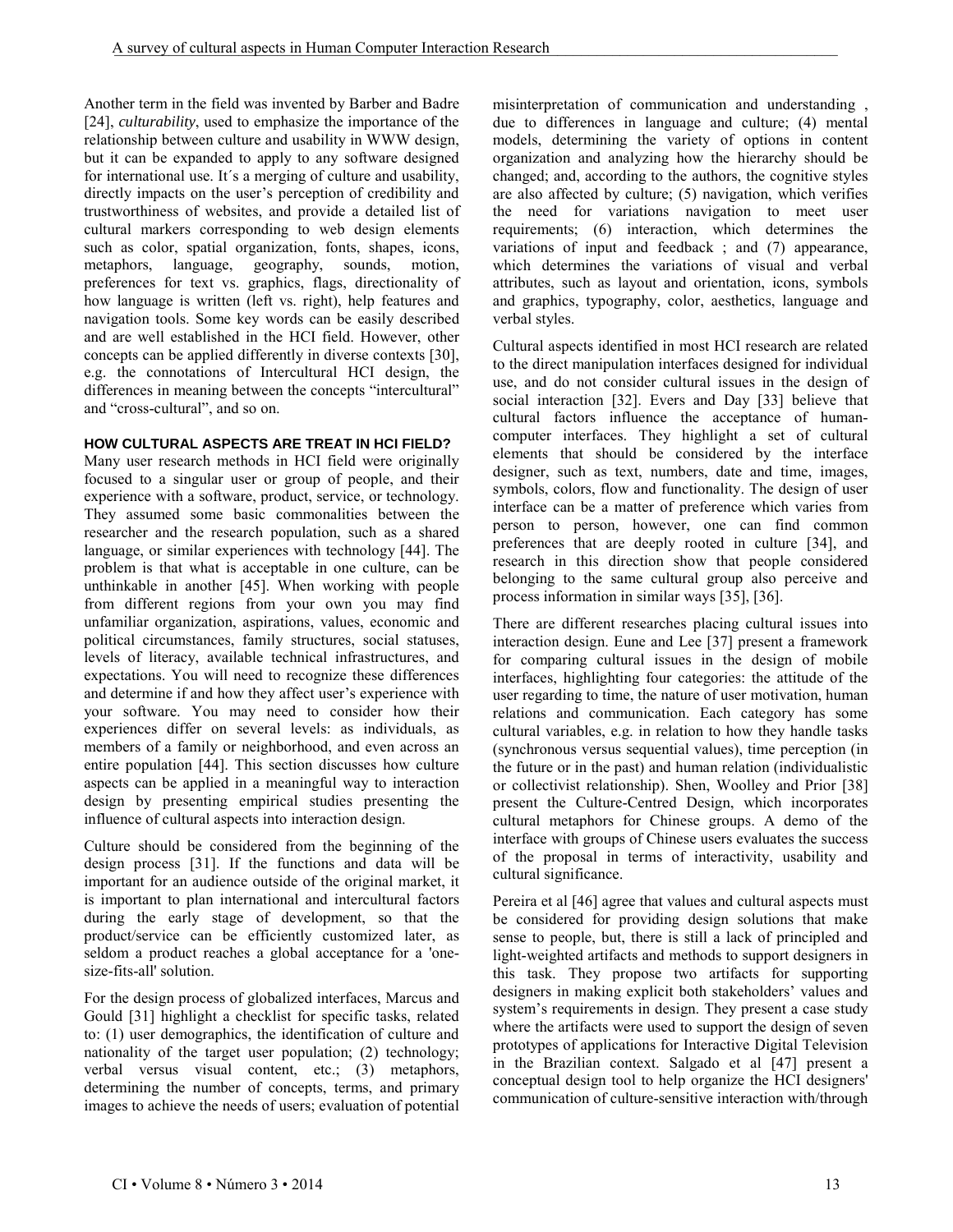Another term in the field was invented by Barber and Badre [24], *culturability*, used to emphasize the importance of the relationship between culture and usability in WWW design, but it can be expanded to apply to any software designed for international use. It´s a merging of culture and usability, directly impacts on the user's perception of credibility and trustworthiness of websites, and provide a detailed list of cultural markers corresponding to web design elements such as color, spatial organization, fonts, shapes, icons, metaphors, language, geography, sounds, motion, preferences for text vs. graphics, flags, directionality of how language is written (left vs. right), help features and navigation tools. Some key words can be easily described and are well established in the HCI field. However, other concepts can be applied differently in diverse contexts [30], e.g. the connotations of Intercultural HCI design, the differences in meaning between the concepts "intercultural" and "cross-cultural", and so on.

# **HOW CULTURAL ASPECTS ARE TREAT IN HCI FIELD?**

Many user research methods in HCI field were originally focused to a singular user or group of people, and their experience with a software, product, service, or technology. They assumed some basic commonalities between the researcher and the research population, such as a shared language, or similar experiences with technology [44]. The problem is that what is acceptable in one culture, can be unthinkable in another [45]. When working with people from different regions from your own you may find unfamiliar organization, aspirations, values, economic and political circumstances, family structures, social statuses, levels of literacy, available technical infrastructures, and expectations. You will need to recognize these differences and determine if and how they affect user's experience with your software. You may need to consider how their experiences differ on several levels: as individuals, as members of a family or neighborhood, and even across an entire population [44]. This section discusses how culture aspects can be applied in a meaningful way to interaction design by presenting empirical studies presenting the influence of cultural aspects into interaction design.

Culture should be considered from the beginning of the design process [31]. If the functions and data will be important for an audience outside of the original market, it is important to plan international and intercultural factors during the early stage of development, so that the product/service can be efficiently customized later, as seldom a product reaches a global acceptance for a 'onesize-fits-all' solution.

For the design process of globalized interfaces, Marcus and Gould [31] highlight a checklist for specific tasks, related to: (1) user demographics, the identification of culture and nationality of the target user population; (2) technology; verbal versus visual content, etc.; (3) metaphors, determining the number of concepts, terms, and primary images to achieve the needs of users; evaluation of potential misinterpretation of communication and understanding , due to differences in language and culture; (4) mental models, determining the variety of options in content organization and analyzing how the hierarchy should be changed; and, according to the authors, the cognitive styles are also affected by culture; (5) navigation, which verifies the need for variations navigation to meet user requirements; (6) interaction, which determines the variations of input and feedback ; and (7) appearance, which determines the variations of visual and verbal attributes, such as layout and orientation, icons, symbols and graphics, typography, color, aesthetics, language and verbal styles.

Cultural aspects identified in most HCI research are related to the direct manipulation interfaces designed for individual use, and do not consider cultural issues in the design of social interaction [32]. Evers and Day [33] believe that cultural factors influence the acceptance of humancomputer interfaces. They highlight a set of cultural elements that should be considered by the interface designer, such as text, numbers, date and time, images, symbols, colors, flow and functionality. The design of user interface can be a matter of preference which varies from person to person, however, one can find common preferences that are deeply rooted in culture [34], and research in this direction show that people considered belonging to the same cultural group also perceive and process information in similar ways [35], [36].

There are different researches placing cultural issues into interaction design. Eune and Lee [37] present a framework for comparing cultural issues in the design of mobile interfaces, highlighting four categories: the attitude of the user regarding to time, the nature of user motivation, human relations and communication. Each category has some cultural variables, e.g. in relation to how they handle tasks (synchronous versus sequential values), time perception (in the future or in the past) and human relation (individualistic or collectivist relationship). Shen, Woolley and Prior [38] present the Culture-Centred Design, which incorporates cultural metaphors for Chinese groups. A demo of the interface with groups of Chinese users evaluates the success of the proposal in terms of interactivity, usability and cultural significance.

Pereira et al [46] agree that values and cultural aspects must be considered for providing design solutions that make sense to people, but, there is still a lack of principled and light-weighted artifacts and methods to support designers in this task. They propose two artifacts for supporting designers in making explicit both stakeholders' values and system's requirements in design. They present a case study where the artifacts were used to support the design of seven prototypes of applications for Interactive Digital Television in the Brazilian context. Salgado et al [47] present a conceptual design tool to help organize the HCI designers' communication of culture-sensitive interaction with/through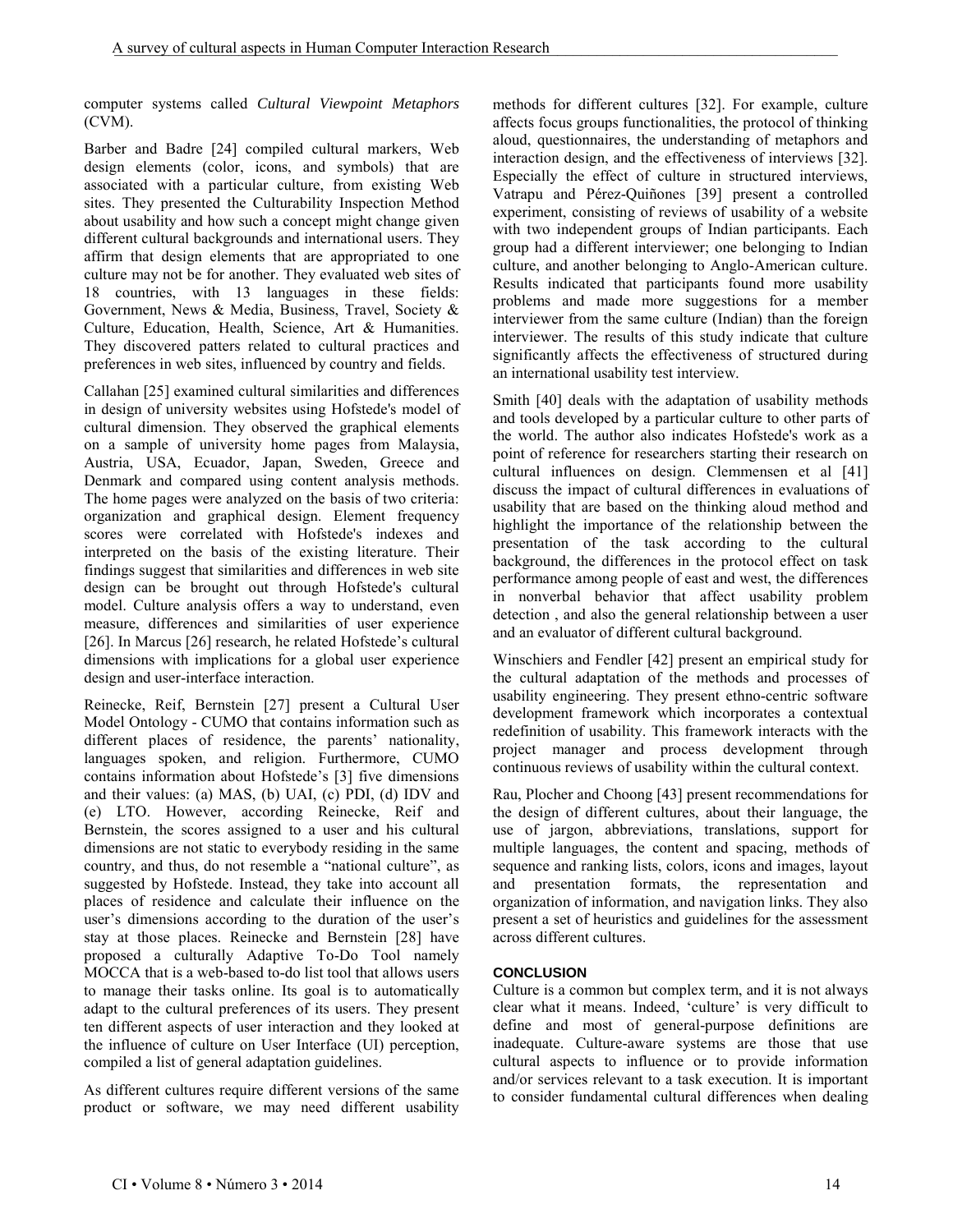computer systems called *Cultural Viewpoint Metaphors* (CVM).

Barber and Badre [24] compiled cultural markers, Web design elements (color, icons, and symbols) that are associated with a particular culture, from existing Web sites. They presented the Culturability Inspection Method about usability and how such a concept might change given different cultural backgrounds and international users. They affirm that design elements that are appropriated to one culture may not be for another. They evaluated web sites of 18 countries, with 13 languages in these fields: Government, News & Media, Business, Travel, Society & Culture, Education, Health, Science, Art & Humanities. They discovered patters related to cultural practices and preferences in web sites, influenced by country and fields.

Callahan [25] examined cultural similarities and differences in design of university websites using Hofstede's model of cultural dimension. They observed the graphical elements on a sample of university home pages from Malaysia, Austria, USA, Ecuador, Japan, Sweden, Greece and Denmark and compared using content analysis methods. The home pages were analyzed on the basis of two criteria: organization and graphical design. Element frequency scores were correlated with Hofstede's indexes and interpreted on the basis of the existing literature. Their findings suggest that similarities and differences in web site design can be brought out through Hofstede's cultural model. Culture analysis offers a way to understand, even measure, differences and similarities of user experience [26]. In Marcus [26] research, he related Hofstede's cultural dimensions with implications for a global user experience design and user-interface interaction.

Reinecke, Reif, Bernstein [27] present a Cultural User Model Ontology - CUMO that contains information such as different places of residence, the parents' nationality, languages spoken, and religion. Furthermore, CUMO contains information about Hofstede's [3] five dimensions and their values: (a) MAS, (b) UAI, (c) PDI, (d) IDV and (e) LTO. However, according Reinecke, Reif and Bernstein, the scores assigned to a user and his cultural dimensions are not static to everybody residing in the same country, and thus, do not resemble a "national culture", as suggested by Hofstede. Instead, they take into account all places of residence and calculate their influence on the user's dimensions according to the duration of the user's stay at those places. Reinecke and Bernstein [28] have proposed a culturally Adaptive To-Do Tool namely MOCCA that is a web-based to-do list tool that allows users to manage their tasks online. Its goal is to automatically adapt to the cultural preferences of its users. They present ten different aspects of user interaction and they looked at the influence of culture on User Interface (UI) perception, compiled a list of general adaptation guidelines.

As different cultures require different versions of the same product or software, we may need different usability methods for different cultures [32]. For example, culture affects focus groups functionalities, the protocol of thinking aloud, questionnaires, the understanding of metaphors and interaction design, and the effectiveness of interviews [32]. Especially the effect of culture in structured interviews, Vatrapu and Pérez-Quiñones [39] present a controlled experiment, consisting of reviews of usability of a website with two independent groups of Indian participants. Each group had a different interviewer; one belonging to Indian culture, and another belonging to Anglo-American culture. Results indicated that participants found more usability problems and made more suggestions for a member interviewer from the same culture (Indian) than the foreign interviewer. The results of this study indicate that culture significantly affects the effectiveness of structured during an international usability test interview.

Smith [40] deals with the adaptation of usability methods and tools developed by a particular culture to other parts of the world. The author also indicates Hofstede's work as a point of reference for researchers starting their research on cultural influences on design. Clemmensen et al [41] discuss the impact of cultural differences in evaluations of usability that are based on the thinking aloud method and highlight the importance of the relationship between the presentation of the task according to the cultural background, the differences in the protocol effect on task performance among people of east and west, the differences in nonverbal behavior that affect usability problem detection , and also the general relationship between a user and an evaluator of different cultural background.

Winschiers and Fendler [42] present an empirical study for the cultural adaptation of the methods and processes of usability engineering. They present ethno-centric software development framework which incorporates a contextual redefinition of usability. This framework interacts with the project manager and process development through continuous reviews of usability within the cultural context.

Rau, Plocher and Choong [43] present recommendations for the design of different cultures, about their language, the use of jargon, abbreviations, translations, support for multiple languages, the content and spacing, methods of sequence and ranking lists, colors, icons and images, layout and presentation formats, the representation and organization of information, and navigation links. They also present a set of heuristics and guidelines for the assessment across different cultures.

# **CONCLUSION**

Culture is a common but complex term, and it is not always clear what it means. Indeed, 'culture' is very difficult to define and most of general-purpose definitions are inadequate. Culture-aware systems are those that use cultural aspects to influence or to provide information and/or services relevant to a task execution. It is important to consider fundamental cultural differences when dealing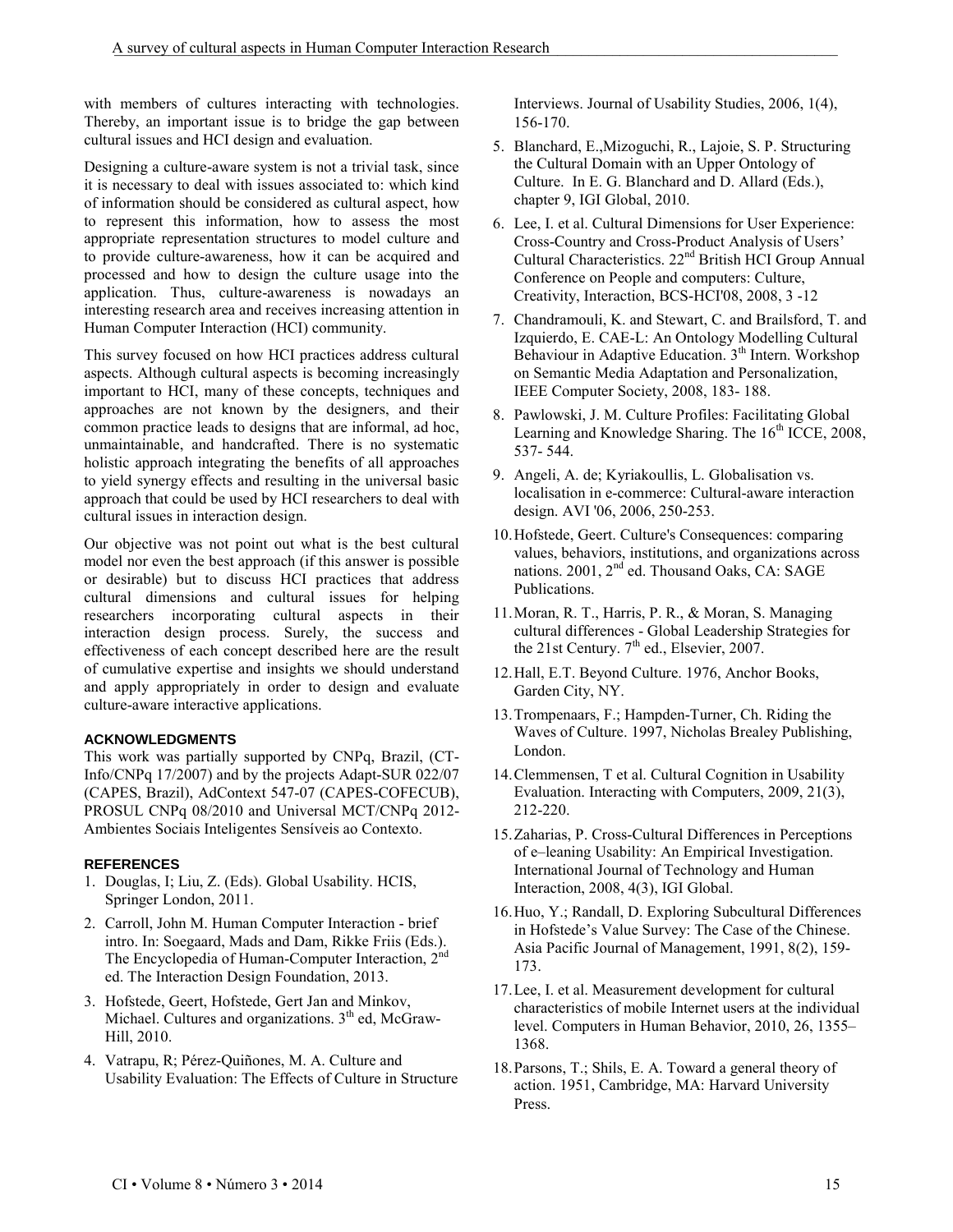with members of cultures interacting with technologies. Thereby, an important issue is to bridge the gap between cultural issues and HCI design and evaluation.

Designing a culture-aware system is not a trivial task, since it is necessary to deal with issues associated to: which kind of information should be considered as cultural aspect, how to represent this information, how to assess the most appropriate representation structures to model culture and to provide culture-awareness, how it can be acquired and processed and how to design the culture usage into the application. Thus, culture-awareness is nowadays an interesting research area and receives increasing attention in Human Computer Interaction (HCI) community.

This survey focused on how HCI practices address cultural aspects. Although cultural aspects is becoming increasingly important to HCI, many of these concepts, techniques and approaches are not known by the designers, and their common practice leads to designs that are informal, ad hoc, unmaintainable, and handcrafted. There is no systematic holistic approach integrating the benefits of all approaches to yield synergy effects and resulting in the universal basic approach that could be used by HCI researchers to deal with cultural issues in interaction design.

Our objective was not point out what is the best cultural model nor even the best approach (if this answer is possible or desirable) but to discuss HCI practices that address cultural dimensions and cultural issues for helping researchers incorporating cultural aspects in their interaction design process. Surely, the success and effectiveness of each concept described here are the result of cumulative expertise and insights we should understand and apply appropriately in order to design and evaluate culture-aware interactive applications.

# **ACKNOWLEDGMENTS**

This work was partially supported by CNPq, Brazil, (CT-Info/CNPq 17/2007) and by the projects Adapt-SUR 022/07 (CAPES, Brazil), AdContext 547-07 (CAPES-COFECUB), PROSUL CNPq 08/2010 and Universal MCT/CNPq 2012- Ambientes Sociais Inteligentes Sensíveis ao Contexto.

# **REFERENCES**

- 1. Douglas, I; Liu, Z. (Eds). Global Usability. HCIS, Springer London, 2011.
- 2. Carroll, John M. Human Computer Interaction brief intro. In: Soegaard, Mads and Dam, Rikke Friis (Eds.). The Encyclopedia of Human-Computer Interaction, 2<sup>nd</sup> ed. The Interaction Design Foundation, 2013.
- 3. Hofstede, Geert, Hofstede, Gert Jan and Minkov, Michael. Cultures and organizations. 3<sup>th</sup> ed, McGraw-Hill, 2010.
- 4. Vatrapu, R; Pérez-Quiñones, M. A. Culture and Usability Evaluation: The Effects of Culture in Structure

Interviews. Journal of Usability Studies, 2006, 1(4), 156-170.

- 5. Blanchard, E.,Mizoguchi, R., Lajoie, S. P. Structuring the Cultural Domain with an Upper Ontology of Culture. In E. G. Blanchard and D. Allard (Eds.), chapter 9, IGI Global, 2010.
- 6. Lee, I. et al. Cultural Dimensions for User Experience: Cross-Country and Cross-Product Analysis of Users' Cultural Characteristics. 22nd British HCI Group Annual Conference on People and computers: Culture, Creativity, Interaction, BCS-HCI'08, 2008, 3 -12
- 7. Chandramouli, K. and Stewart, C. and Brailsford, T. and Izquierdo, E. CAE-L: An Ontology Modelling Cultural Behaviour in Adaptive Education. 3<sup>th</sup> Intern. Workshop on Semantic Media Adaptation and Personalization, IEEE Computer Society, 2008, 183- 188.
- 8. Pawlowski, J. M. Culture Profiles: Facilitating Global Learning and Knowledge Sharing. The  $16<sup>th</sup>$  ICCE, 2008, 537- 544.
- 9. Angeli, A. de; Kyriakoullis, L. Globalisation vs. localisation in e-commerce: Cultural-aware interaction design. AVI '06, 2006, 250-253.
- 10.Hofstede, Geert. Culture's Consequences: comparing values, behaviors, institutions, and organizations across nations. 2001, 2<sup>nd</sup> ed. Thousand Oaks, CA: SAGE Publications.
- 11.Moran, R. T., Harris, P. R., & Moran, S. Managing cultural differences - Global Leadership Strategies for the 21st Century.  $7<sup>th</sup>$  ed., Elsevier, 2007.
- 12.Hall, E.T. Beyond Culture. 1976, Anchor Books, Garden City, NY.
- 13.Trompenaars, F.; Hampden-Turner, Ch. Riding the Waves of Culture. 1997, Nicholas Brealey Publishing, London.
- 14.Clemmensen, T et al. Cultural Cognition in Usability Evaluation. Interacting with Computers, 2009, 21(3), 212-220.
- 15.Zaharias, P. Cross-Cultural Differences in Perceptions of e–leaning Usability: An Empirical Investigation. International Journal of Technology and Human Interaction, 2008, 4(3), IGI Global.
- 16.Huo, Y.; Randall, D. Exploring Subcultural Differences in Hofstede's Value Survey: The Case of the Chinese. Asia Pacific Journal of Management, 1991, 8(2), 159- 173.
- 17.Lee, I. et al. Measurement development for cultural characteristics of mobile Internet users at the individual level. Computers in Human Behavior, 2010, 26, 1355– 1368.
- 18.Parsons, T.; Shils, E. A. Toward a general theory of action. 1951, Cambridge, MA: Harvard University Press.